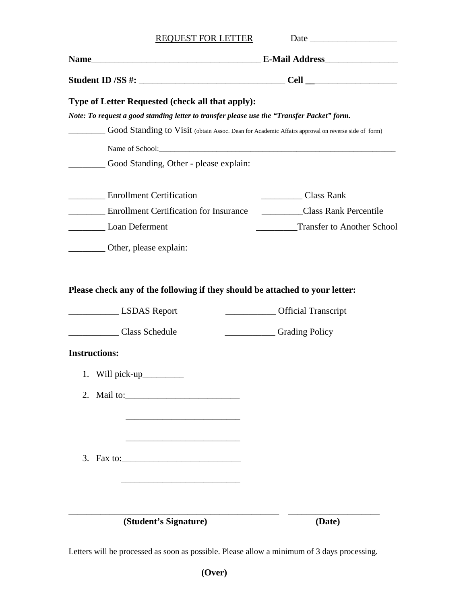| REQUEST FOR LETTER                                                                                                                             |                                   |
|------------------------------------------------------------------------------------------------------------------------------------------------|-----------------------------------|
|                                                                                                                                                |                                   |
|                                                                                                                                                |                                   |
| Type of Letter Requested (check all that apply):<br>Note: To request a good standing letter to transfer please use the "Transfer Packet" form. |                                   |
| Good Standing to Visit (obtain Assoc. Dean for Academic Affairs approval on reverse side of form)                                              |                                   |
|                                                                                                                                                |                                   |
| ____ Good Standing, Other - please explain:                                                                                                    |                                   |
| <b>Enrollment Certification</b>                                                                                                                | Class Rank                        |
| Enrollment Certification for Insurance                                                                                                         | Class Rank Percentile             |
| Loan Deferment                                                                                                                                 | <b>Transfer to Another School</b> |
| Other, please explain:                                                                                                                         |                                   |
| LSDAS Report                                                                                                                                   |                                   |
|                                                                                                                                                |                                   |
| Class Schedule                                                                                                                                 | Crading Policy                    |
| <b>Instructions:</b>                                                                                                                           |                                   |
|                                                                                                                                                |                                   |
| 2.                                                                                                                                             |                                   |
|                                                                                                                                                |                                   |
|                                                                                                                                                |                                   |
|                                                                                                                                                |                                   |
|                                                                                                                                                |                                   |
|                                                                                                                                                |                                   |
|                                                                                                                                                |                                   |
| (Student's Signature)                                                                                                                          | (Date)                            |

Letters will be processed as soon as possible. Please allow a minimum of 3 days processing.